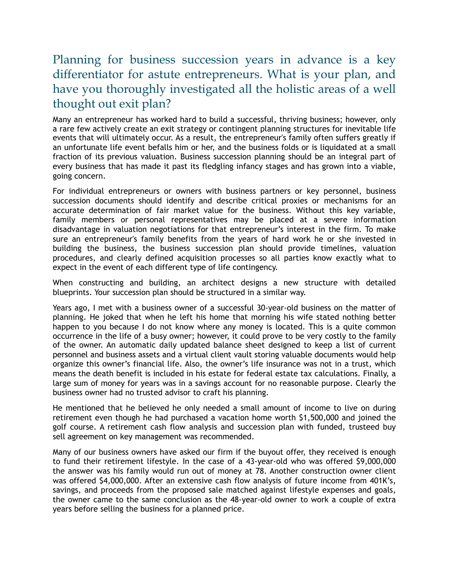## Planning for business succession years in advance is a key differentiator for astute entrepreneurs. What is your plan, and have you thoroughly investigated all the holistic areas of a well thought out exit plan?

Many an entrepreneur has worked hard to build a successful, thriving business; however, only a rare few actively create an exit strategy or contingent planning structures for inevitable life events that will ultimately occur. As a result, the entrepreneur's family often suffers greatly if an unfortunate life event befalls him or her, and the business folds or is liquidated at a small fraction of its previous valuation. Business succession planning should be an integral part of every business that has made it past its fledgling infancy stages and has grown into a viable, going concern.

For individual entrepreneurs or owners with business partners or key personnel, business succession documents should identify and describe critical proxies or mechanisms for an accurate determination of fair market value for the business. Without this key variable, family members or personal representatives may be placed at a severe information disadvantage in valuation negotiations for that entrepreneur's interest in the firm. To make sure an entrepreneur's family benefits from the years of hard work he or she invested in building the business, the business succession plan should provide timelines, valuation procedures, and clearly defined acquisition processes so all parties know exactly what to expect in the event of each different type of life contingency.

When constructing and building, an architect designs a new structure with detailed blueprints. Your succession plan should be structured in a similar way.

Years ago, I met with a business owner of a successful 30-year-old business on the matter of planning. He joked that when he left his home that morning his wife stated nothing better happen to you because I do not know where any money is located. This is a quite common occurrence in the life of a busy owner; however, it could prove to be very costly to the family of the owner. An automatic daily updated balance sheet designed to keep a list of current personnel and business assets and a virtual client vault storing valuable documents would help organize this owner's financial life. Also, the owner's life insurance was not in a trust, which means the death benefit is included in his estate for federal estate tax calculations. Finally, a large sum of money for years was in a savings account for no reasonable purpose. Clearly the business owner had no trusted advisor to craft his planning.

He mentioned that he believed he only needed a small amount of income to live on during retirement even though he had purchased a vacation home worth \$1,500,000 and joined the golf course. A retirement cash flow analysis and succession plan with funded, trusteed buy sell agreement on key management was recommended.

Many of our business owners have asked our firm if the buyout offer, they received is enough to fund their retirement lifestyle. In the case of a 43-year-old who was offered \$9,000,000 the answer was his family would run out of money at 78. Another construction owner client was offered \$4,000,000. After an extensive cash flow analysis of future income from 401K's, savings, and proceeds from the proposed sale matched against lifestyle expenses and goals, the owner came to the same conclusion as the 48-year-old owner to work a couple of extra years before selling the business for a planned price.